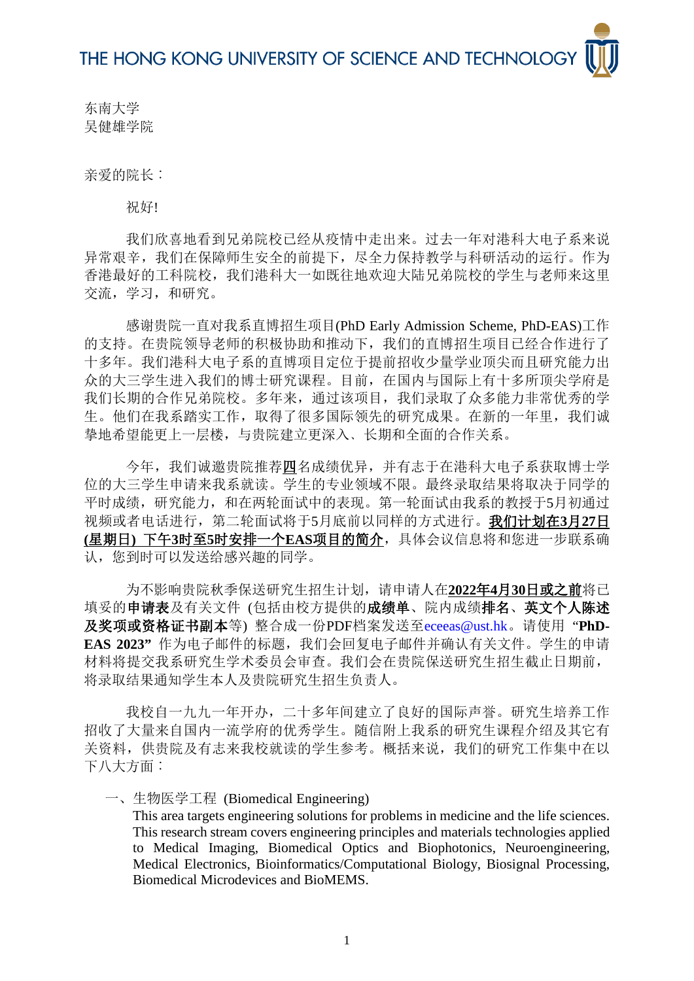东南大学 吴健雄学院

亲爱的院长:

祝好!

我们欣喜地看到兄弟院校已经从疫情中走出来。过去一年对港科大电子系来说 异常艰辛,我们在保障师生安全的前提下,尽全力保持教学与科研活动的运行。作为 香港最好的工科院校,我们港科大一如既往地欢迎大陆兄弟院校的学生与老师来这里 交流,学习,和研究。

感谢贵院一直对我系直博招生项目(PhD Early Admission Scheme, PhD-EAS)工作 的支持。在贵院领导老师的积极协助和推动下,我们的直博招生项目已经合作进行了 十多年。我们港科大电子系的直博项目定位于提前招收少量学业顶尖而且研究能力出 众的大三学生进入我们的博士研究课程。目前,在国内与国际上有十多所顶尖学府是 我们长期的合作兄弟院校。多年来,通过该项目,我们录取了众多能力非常优秀的学 生。他们在我系踏实工作,取得了很多国际领先的研究成果。在新的一年里,我们诚 挚地希望能更上一层楼,与贵院建立更深入﹑长期和全面的合作关系。

今年,我们诚邀贵院推荐四名成绩优异,并有志于在港科大电子系获取博士学 位的大三学生申请来我系就读。学生的专业领域不限。最终录取结果将取决于同学的 平时成绩,研究能力,和在两轮面试中的表现。第一轮面试由我系的教授于5月初通过 视频或者电话进行,第二轮面试将于5月底前以同样的方式进行。我们计划在**3**月**27**日 **(**星期日**)** 下午**3**时至**5**时安排一个**EAS**项目的简介,具体会议信息将和您进一步联系确 认,您到时可以发送给感兴趣的同学。

为不影响贵院秋季保送研究生招生计划,请申请人在**2022**年**4**月**30**日或之前将已 填妥的申请表及有关文件(包括由校方提供的成绩单、院内成绩排名、英文个人陈述 及奖项或资格证书副本等) 整合成一份PDF档案发送至[eceeas@ust.hk](mailto:eceeas@ust.hk)。请使用 "**PhD-EAS 2023"** 作为电子邮件的标题,我们会回复电子邮件并确认有关文件。学生的申请 材料将提交我系研究生学术委员会审查。我们会在贵院保送研究生招生截止日期前, 将录取结果通知学生本人及贵院研究生招生负责人。

我校自一九九一年开办,二十多年间建立了良好的国际声誉。研究生培养工作 招收了大量来自国内一流学府的优秀学生。随信附上我系的研究生课程介绍及其它有 关资料,供贵院及有志来我校就读的学生参考。概括来说,我们的研究工作集中在以 下八大方面:

一、生物医学工程 (Biomedical Engineering)

This area targets engineering solutions for problems in medicine and the life sciences. This research stream covers engineering principles and materials technologies applied to Medical Imaging, Biomedical Optics and Biophotonics, Neuroengineering, Medical Electronics, Bioinformatics/Computational Biology, Biosignal Processing, Biomedical Microdevices and BioMEMS.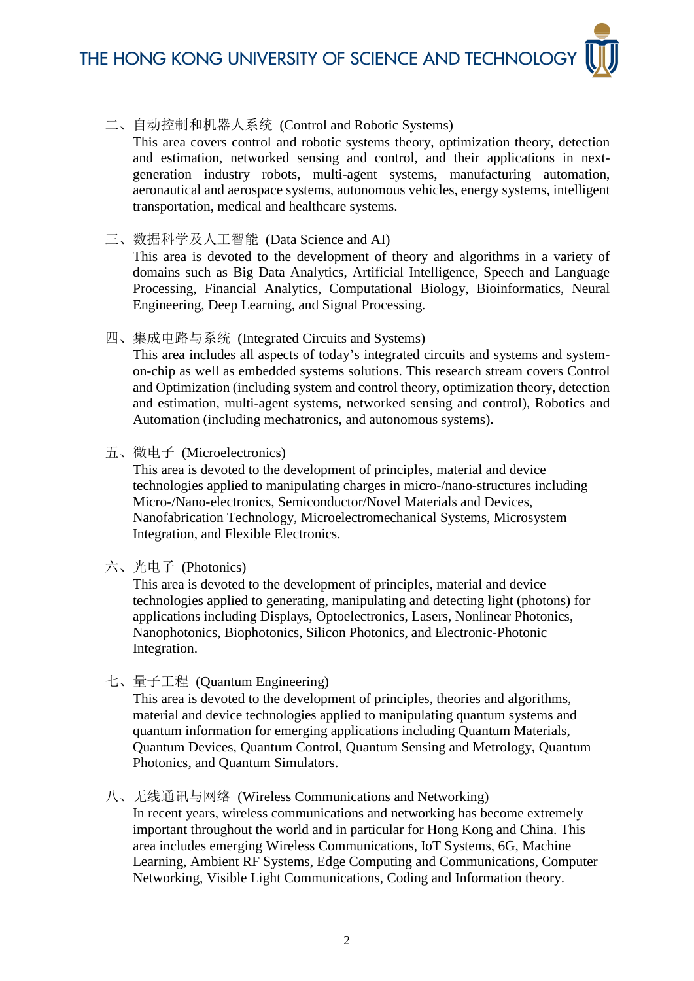THE HONG KONG UNIVERSITY OF SCIENCE AND TECHNOLOG

### 二、自动控制和机器人系统 (Control and Robotic Systems)

This area covers control and robotic systems theory, optimization theory, detection and estimation, networked sensing and control, and their applications in nextgeneration industry robots, multi-agent systems, manufacturing automation, aeronautical and aerospace systems, autonomous vehicles, energy systems, intelligent transportation, medical and healthcare systems.

三、数据科学及人工智能 (Data Science and AI)

This area is devoted to the development of theory and algorithms in a variety of domains such as Big Data Analytics, Artificial Intelligence, Speech and Language Processing, Financial Analytics, Computational Biology, Bioinformatics, Neural Engineering, Deep Learning, and Signal Processing.

四、集成电路与系统 (Integrated Circuits and Systems)

This area includes all aspects of today's integrated circuits and systems and systemon-chip as well as embedded systems solutions. This research stream covers Control and Optimization (including system and control theory, optimization theory, detection and estimation, multi-agent systems, networked sensing and control), Robotics and Automation (including mechatronics, and autonomous systems).

五、微电子 (Microelectronics)

This area is devoted to the development of principles, material and device technologies applied to manipulating charges in micro-/nano-structures including Micro-/Nano-electronics, Semiconductor/Novel Materials and Devices, Nanofabrication Technology, Microelectromechanical Systems, Microsystem Integration, and Flexible Electronics.

### 六、光电子 (Photonics)

This area is devoted to the development of principles, material and device technologies applied to generating, manipulating and detecting light (photons) for applications including Displays, Optoelectronics, Lasers, Nonlinear Photonics, Nanophotonics, Biophotonics, Silicon Photonics, and Electronic-Photonic Integration.

七、量子工程 (Quantum Engineering)

This area is devoted to the development of principles, theories and algorithms, material and device technologies applied to manipulating quantum systems and quantum information for emerging applications including Quantum Materials, Quantum Devices, Quantum Control, Quantum Sensing and Metrology, Quantum Photonics, and Quantum Simulators.

八、无线通讯与网络 (Wireless Communications and Networking)

In recent years, wireless communications and networking has become extremely important throughout the world and in particular for Hong Kong and China. This area includes emerging Wireless Communications, IoT Systems, 6G, Machine Learning, Ambient RF Systems, Edge Computing and Communications, Computer Networking, Visible Light Communications, Coding and Information theory.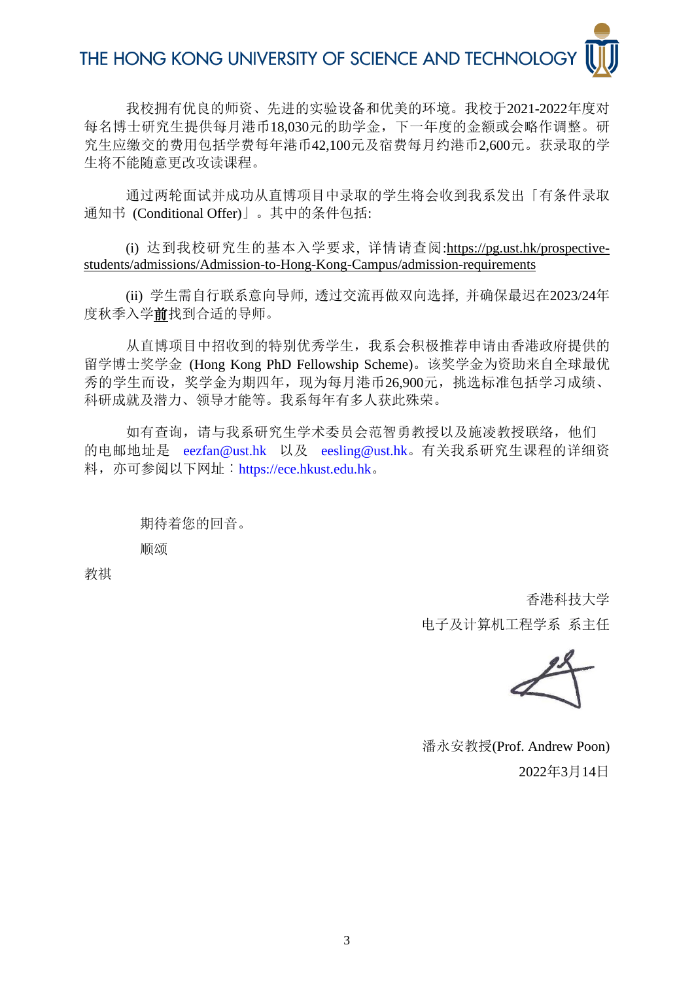## THE HONG KONG UNIVERSITY OF SCIENCE AND TECHNOLOGY

我校拥有优良的师资、先进的实验设备和优美的环境。我校于2021-2022年度对 每名博士研究生提供每月港币18,030元的助学金,下一年度的金额或会略作调整。研 究生应缴交的费用包括学费每年港币42,100元及宿费每月约港币2,600元。获录取的学 生将不能随意更改攻读课程。

通过两轮面试并成功从直博项目中录取的学生将会收到我系发出「有条件录取 通知书 (Conditional Offer)」。其中的条件包括:

(i) 达到我校研究生的基本入学要求, 详情请查阅[:https://pg.ust.hk/prospective](https://pg.ust.hk/prospective-students/admissions/Admission-to-Hong-Kong-Campus/admission-requirements)[students/admissions/Admission-to-Hong-Kong-Campus/admission-requirements](https://pg.ust.hk/prospective-students/admissions/Admission-to-Hong-Kong-Campus/admission-requirements) 

(ii) 学生需自行联系意向导师, 透过交流再做双向选择, 并确保最迟在2023/24年 度秋季入学前找到合适的导师。

从直博项目中招收到的特别优秀学生,我系会积极推荐申请由香港政府提供的 留学博士奖学金 (Hong Kong PhD Fellowship Scheme)。该奖学金为资助来自全球最优 秀的学生而设,奖学金为期四年,现为每月港币26,900元,挑选标准包括学习成绩、 科研成就及潜力、领导才能等。我系每年有多人获此殊荣。

如有查询,请与我系研究生学术委员会范智勇教授以及施凌教授联络,他们 的电邮地址是 [eezfan@ust.](mailto:eezfan@ust.hk)hk 以及 [eesling@u](mailto:eesling@ust.hk)st.hk。有关我系研究生课程的详细资 料,亦可参阅以下网址:[https://ece.hkust.ed](https://ece.hkust.edu.hk/)u.hk。

> 期待着您的回音。 顺颂

教祺

香港科技大学 电子及计算机工程学系 系主任

潘永安教授(Prof. Andrew Poon) 2022年3月14日